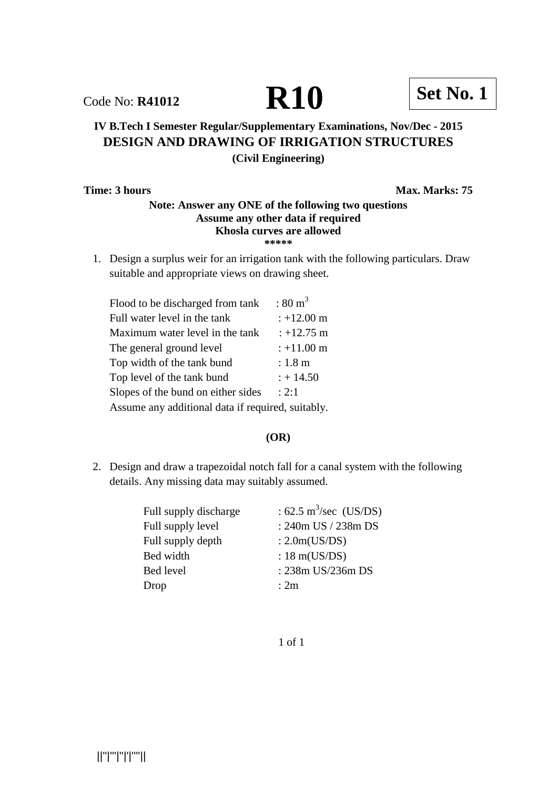# Code No: **R41012 R10 Set No. 1**

# **IV B.Tech I Semester Regular/Supplementary Examinations, Nov/Dec - 2015 DESIGN AND DRAWING OF IRRIGATION STRUCTURES (Civil Engineering)**

**Time: 3 hours** Max. Marks: 75

# **Note: Answer any ONE of the following two questions Assume any other data if required Khosla curves are allowed \*\*\*\*\***

1. Design a surplus weir for an irrigation tank with the following particulars. Draw suitable and appropriate views on drawing sheet.

| Flood to be discharged from tank                  | $:80 \text{ m}^3$    |
|---------------------------------------------------|----------------------|
| Full water level in the tank                      | $: +12.00 \text{ m}$ |
| Maximum water level in the tank                   | $: +12.75 \text{ m}$ |
| The general ground level                          | $: +11.00 \text{ m}$ |
| Top width of the tank bund                        | $: 1.8 \text{ m}$    |
| Top level of the tank bund                        | $: +14.50$           |
| Slopes of the bund on either sides                | : 2:1                |
| Assume any additional data if required, suitably. |                      |

### **(OR)**

2. Design and draw a trapezoidal notch fall for a canal system with the following details. Any missing data may suitably assumed.

| Full supply discharge | : 62.5 m <sup>3</sup> /sec (US/DS) |
|-----------------------|------------------------------------|
| Full supply level     | : 240m US / 238m DS                |
| Full supply depth     | : $2.0m(US/DS)$                    |
| Bed width             | : $18 \text{ m}(US/DS)$            |
| Bed level             | : 238m US/236m DS                  |
| Drop                  | : 2m                               |

1 of 1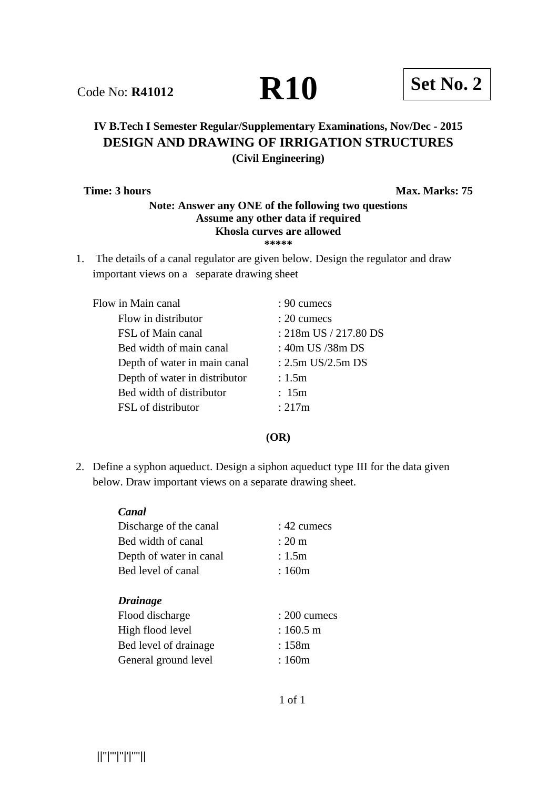# **IV B.Tech I Semester Regular/Supplementary Examinations, Nov/Dec - 2015 DESIGN AND DRAWING OF IRRIGATION STRUCTURES (Civil Engineering)**

**Time: 3 hours** Max. Marks: 75

### **Note: Answer any ONE of the following two questions Assume any other data if required Khosla curves are allowed \*\*\*\*\***

1. The details of a canal regulator are given below. Design the regulator and draw important views on a separate drawing sheet

| Flow in Main canal            | $: 90 \text{ cumecs}$  |
|-------------------------------|------------------------|
| Flow in distributor           | $: 20 \text{ cumecs}$  |
| FSL of Main canal             | : 218m US / 217.80 DS  |
| Bed width of main canal       | : 40m US /38m DS       |
| Depth of water in main canal  | : $2.5m$ US/ $2.5m$ DS |
| Depth of water in distributor | : 1.5m                 |
| Bed width of distributor      | : 15m                  |
| FSL of distributor            | : 217m                 |

#### **(OR)**

2. Define a syphon aqueduct. Design a siphon aqueduct type III for the data given below. Draw important views on a separate drawing sheet.

| Canal                   |                    |
|-------------------------|--------------------|
| Discharge of the canal  | : 42 cumecs        |
| Bed width of canal      | $: 20 \text{ m}$   |
| Depth of water in canal | : 1.5m             |
| Bed level of canal      | : 160m             |
|                         |                    |
| <b>Drainage</b>         |                    |
| Flood discharge         | $: 200$ cumecs     |
| High flood level        | $:160.5 \text{ m}$ |
| Bed level of drainage   | : 158m             |
|                         |                    |

||''|'''|''|'|''''||

**Code No: R41012 R10 Set No. 2**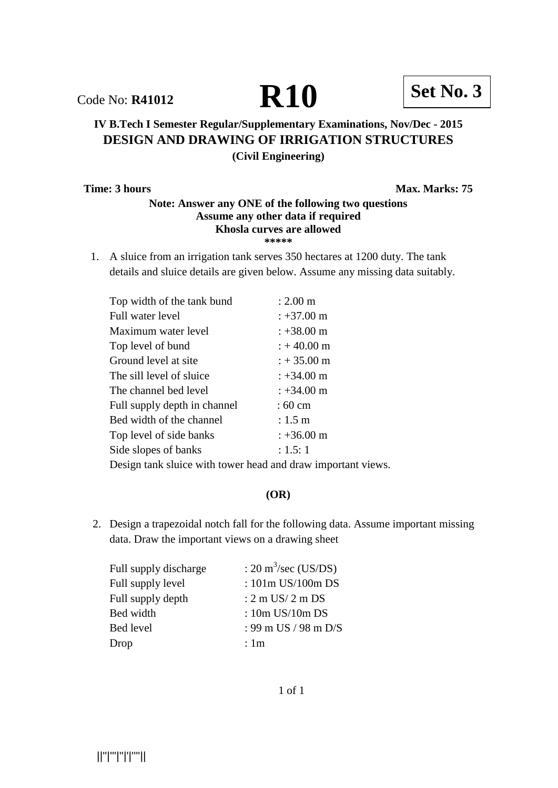Code No: **R41012 R10 Set No. 3** 

# **IV B.Tech I Semester Regular/Supplementary Examinations, Nov/Dec - 2015 DESIGN AND DRAWING OF IRRIGATION STRUCTURES (Civil Engineering)**

**Time: 3 hours** Max. Marks: 75

### **Note: Answer any ONE of the following two questions Assume any other data if required Khosla curves are allowed \*\*\*\*\***

1. A sluice from an irrigation tank serves 350 hectares at 1200 duty. The tank details and sluice details are given below. Assume any missing data suitably.

| Top width of the tank bund     | $: 2.00 \text{ m}$    |
|--------------------------------|-----------------------|
| Full water level               | $: +37.00 \text{ m}$  |
| Maximum water level            | $: +38.00 \text{ m}$  |
| Top level of bund              | $: +40.00 \text{ m}$  |
| Ground level at site           | $: +35.00 \text{ m}$  |
| The sill level of sluice       | $: +34.00 \text{ m}$  |
| The channel bed level          | $: +34.00 \text{ m}$  |
| Full supply depth in channel   | $:60 \text{ cm}$      |
| Bed width of the channel       | $: 1.5 \; \mathrm{m}$ |
| Top level of side banks        | $: +36.00 \text{ m}$  |
| Side slopes of banks           | : 1.5: 1              |
| . . 1 1 .<br>$\mathbf{\Gamma}$ |                       |

Design tank sluice with tower head and draw important views.

# **(OR)**

2. Design a trapezoidal notch fall for the following data. Assume important missing data. Draw the important views on a drawing sheet

| Full supply discharge | : $20 \text{ m}^3/\text{sec}$ (US/DS) |
|-----------------------|---------------------------------------|
| Full supply level     | : 101m US/100m DS                     |
| Full supply depth     | $: 2 \text{ m } US/ 2 \text{ m } DS$  |
| Bed width             | : $10m$ US/ $10m$ DS                  |
| Bed level             | : 99 m US / 98 m D/S                  |
| Drop                  | : 1m                                  |

1 of 1